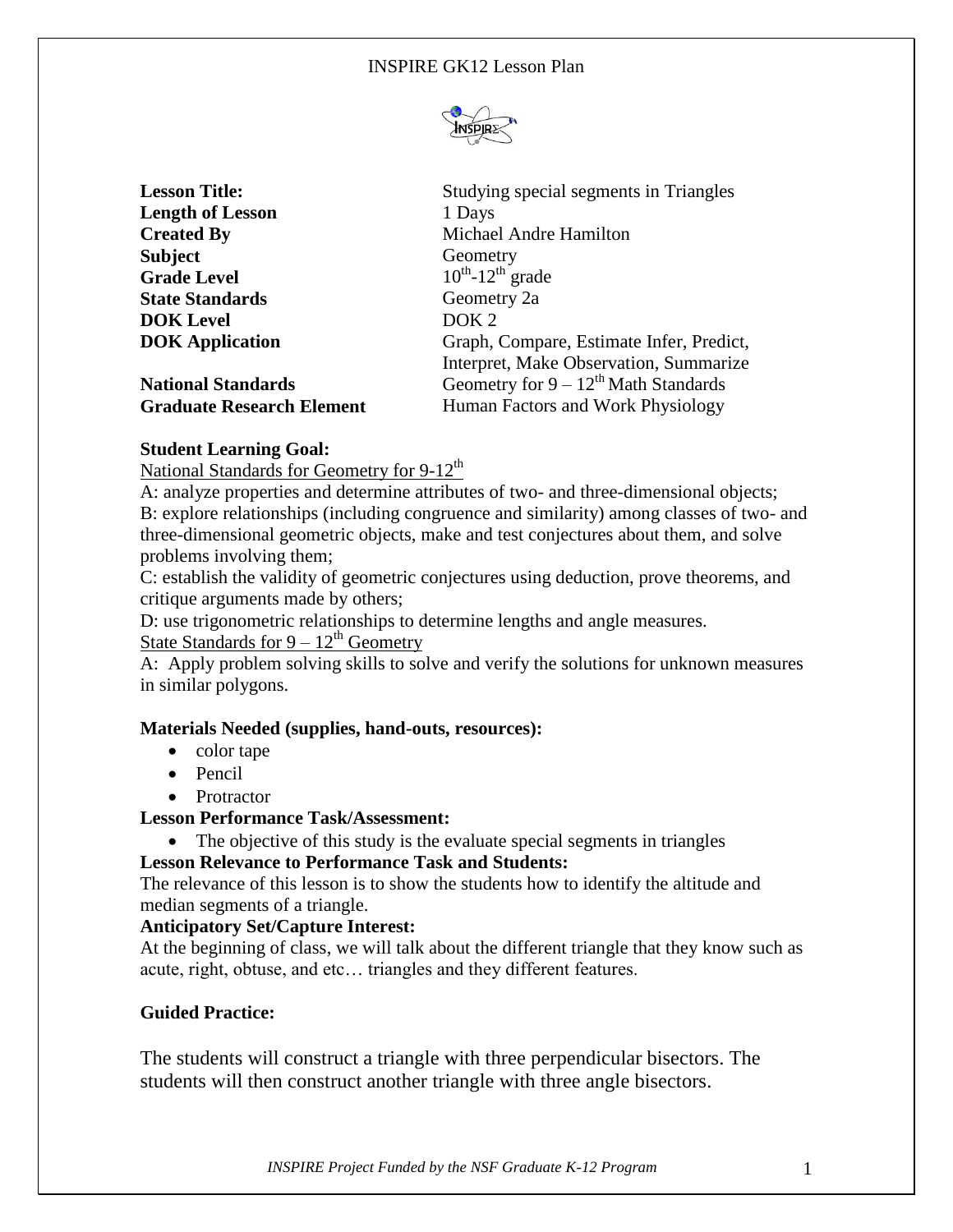

| <b>Lesson Title:</b>             | Studying special segments in Triangles    |
|----------------------------------|-------------------------------------------|
| <b>Length of Lesson</b>          | 1 Days                                    |
| <b>Created By</b>                | Michael Andre Hamilton                    |
| <b>Subject</b>                   | Geometry                                  |
| <b>Grade Level</b>               | $10^{th}$ -12 <sup>th</sup> grade         |
| <b>State Standards</b>           | Geometry 2a                               |
| <b>DOK</b> Level                 | DOK <sub>2</sub>                          |
| <b>DOK</b> Application           | Graph, Compare, Estimate Infer, Predict,  |
|                                  | Interpret, Make Observation, Summarize    |
| <b>National Standards</b>        | Geometry for $9 - 12^{th}$ Math Standards |
| <b>Graduate Research Element</b> | Human Factors and Work Physiology         |

# **Student Learning Goal:**

National Standards for Geometry for 9-12<sup>th</sup>

A: analyze properties and determine attributes of two- and three-dimensional objects; B: explore relationships (including congruence and similarity) among classes of two- and three-dimensional geometric objects, make and test conjectures about them, and solve problems involving them;

C: establish the validity of geometric conjectures using deduction, prove theorems, and critique arguments made by others;

D: use trigonometric relationships to determine lengths and angle measures.

# State Standards for  $9 - 12^{th}$  Geometry

A: Apply problem solving skills to solve and verify the solutions for unknown measures in similar polygons.

### **Materials Needed (supplies, hand-outs, resources):**

- color tape
- Pencil
- Protractor

# **Lesson Performance Task/Assessment:**

• The objective of this study is the evaluate special segments in triangles

# **Lesson Relevance to Performance Task and Students:**

The relevance of this lesson is to show the students how to identify the altitude and median segments of a triangle.

# **Anticipatory Set/Capture Interest:**

At the beginning of class, we will talk about the different triangle that they know such as acute, right, obtuse, and etc… triangles and they different features.

# **Guided Practice:**

The students will construct a triangle with three perpendicular bisectors. The students will then construct another triangle with three angle bisectors.